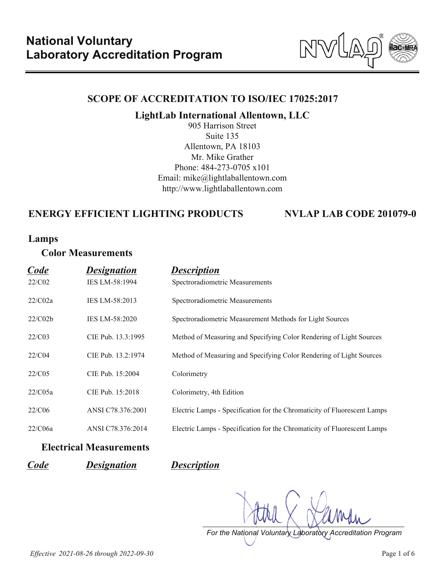NV

### **SCOPE OF ACCREDITATION TO ISO/IEC 17025:2017**

**LightLab International Allentown, LLC**

905 Harrison Street Suite 135 Allentown, PA 18103 Mr. Mike Grather Phone: 484-273-0705 x101 Email: mike@lightlaballentown.com http://www.lightlaballentown.com

# **ENERGY EFFICIENT LIGHTING PRODUCTS NVLAP LAB CODE 201079-0**

### **Lamps**

# **Color Measurements**

| Code    | <b>Designation</b> | <b>Description</b>                                                       |
|---------|--------------------|--------------------------------------------------------------------------|
| 22/C02  | IES LM-58:1994     | Spectroradiometric Measurements                                          |
| 22/C02a | IES LM-58:2013     | Spectroradiometric Measurements                                          |
| 22/C02b | IES LM-58:2020     | Spectroradiometric Measurement Methods for Light Sources                 |
| 22/C03  | CIE Pub. 13.3:1995 | Method of Measuring and Specifying Color Rendering of Light Sources      |
| 22/C04  | CIE Pub. 13.2:1974 | Method of Measuring and Specifying Color Rendering of Light Sources      |
| 22/C05  | CIE Pub. 15:2004   | Colorimetry                                                              |
| 22/C05a | CIE Pub. 15:2018   | Colorimetry, 4th Edition                                                 |
| 22/C06  | ANSI C78.376:2001  | Electric Lamps - Specification for the Chromaticity of Fluorescent Lamps |
| 22/C06a | ANSI C78.376:2014  | Electric Lamps - Specification for the Chromaticity of Fluorescent Lamps |
|         |                    |                                                                          |

### **Electrical Measurements**

*Code Designation Description*

*For the National Voluntary Laboratory Accreditation Program*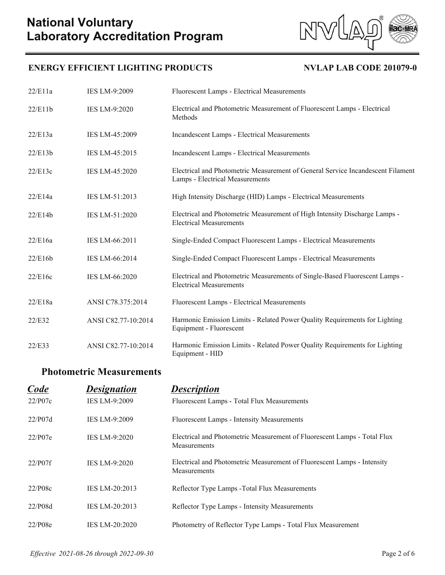



| 22/E11a | IES LM-9:2009        | Fluorescent Lamps - Electrical Measurements                                                                        |
|---------|----------------------|--------------------------------------------------------------------------------------------------------------------|
| 22/E11b | <b>IES LM-9:2020</b> | Electrical and Photometric Measurement of Fluorescent Lamps - Electrical<br>Methods                                |
| 22/E13a | IES LM-45:2009       | Incandescent Lamps - Electrical Measurements                                                                       |
| 22/E13b | IES LM-45:2015       | Incandescent Lamps - Electrical Measurements                                                                       |
| 22/E13c | IES LM-45:2020       | Electrical and Photometric Measurement of General Service Incandescent Filament<br>Lamps - Electrical Measurements |
| 22/E14a | IES LM-51:2013       | High Intensity Discharge (HID) Lamps - Electrical Measurements                                                     |
| 22/E14b | IES LM-51:2020       | Electrical and Photometric Measurement of High Intensity Discharge Lamps -<br><b>Electrical Measurements</b>       |
| 22/E16a | IES LM-66:2011       | Single-Ended Compact Fluorescent Lamps - Electrical Measurements                                                   |
| 22/E16b | IES LM-66:2014       | Single-Ended Compact Fluorescent Lamps - Electrical Measurements                                                   |
| 22/E16c | IES LM-66:2020       | Electrical and Photometric Measurements of Single-Based Fluorescent Lamps -<br><b>Electrical Measurements</b>      |
| 22/E18a | ANSI C78.375:2014    | Fluorescent Lamps - Electrical Measurements                                                                        |
| 22/E32  | ANSI C82.77-10:2014  | Harmonic Emission Limits - Related Power Quality Requirements for Lighting<br>Equipment - Fluorescent              |
| 22/E33  | ANSI C82.77-10:2014  | Harmonic Emission Limits - Related Power Quality Requirements for Lighting<br>Equipment - HID                      |

# **Photometric Measurements**

| Code    | <b>Designation</b>    | <b>Description</b>                                                                              |
|---------|-----------------------|-------------------------------------------------------------------------------------------------|
| 22/P07c | <b>IES LM-9:2009</b>  | Fluorescent Lamps - Total Flux Measurements                                                     |
| 22/P07d | <b>IES LM-9:2009</b>  | Fluorescent Lamps - Intensity Measurements                                                      |
| 22/P07e | <b>IES LM-9:2020</b>  | Electrical and Photometric Measurement of Fluorescent Lamps - Total Flux<br><b>Measurements</b> |
| 22/P07f | <b>IES LM-9:2020</b>  | Electrical and Photometric Measurement of Fluorescent Lamps - Intensity<br>Measurements         |
| 22/P08c | <b>IES LM-20:2013</b> | Reflector Type Lamps - Total Flux Measurements                                                  |
| 22/P08d | <b>IES LM-20:2013</b> | Reflector Type Lamps - Intensity Measurements                                                   |
| 22/P08e | <b>IES LM-20:2020</b> | Photometry of Reflector Type Lamps - Total Flux Measurement                                     |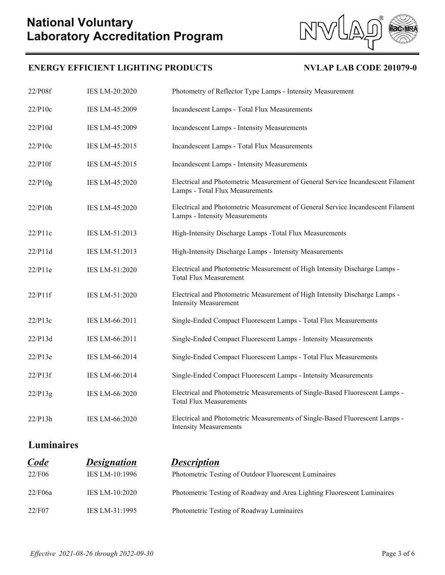# **Laboratory Accreditation Program National Voluntary**





NV

| 22/P10c<br>IES LM-45:2009<br>Incandescent Lamps - Total Flux Measurements<br>22/P10d<br>IES LM-45:2009<br><b>Incandescent Lamps - Intensity Measurements</b><br>22/P10e<br>Incandescent Lamps - Total Flux Measurements<br>IES LM-45:2015<br>22/P10f<br>IES LM-45:2015<br>Incandescent Lamps - Intensity Measurements<br>22/P10g<br>IES LM-45:2020<br>Lamps - Total Flux Measurements<br>22/P10h<br>IES LM-45:2020<br>Lamps - Intensity Measurements<br>22/P11c<br>IES LM-51:2013<br>High-Intensity Discharge Lamps - Total Flux Measurements<br>High-Intensity Discharge Lamps - Intensity Measurements<br>22/P11d<br>IES LM-51:2013<br>Electrical and Photometric Measurement of High Intensity Discharge Lamps -<br>22/P11e<br>IES LM-51:2020<br><b>Total Flux Measurement</b><br>Electrical and Photometric Measurement of High Intensity Discharge Lamps -<br>22/P11f<br>IES LM-51:2020<br><b>Intensity Measurement</b><br>22/P13c<br>IES LM-66:2011<br>Single-Ended Compact Fluorescent Lamps - Total Flux Measurements<br>22/P13d<br>IES LM-66:2011<br>Single-Ended Compact Fluorescent Lamps - Intensity Measurements<br>22/P13e<br>Single-Ended Compact Fluorescent Lamps - Total Flux Measurements<br>IES LM-66:2014<br>22/P13f<br>Single-Ended Compact Fluorescent Lamps - Intensity Measurements<br>IES LM-66:2014<br>Electrical and Photometric Measurements of Single-Based Fluorescent Lamps -<br>22/P13g<br>IES LM-66:2020<br><b>Total Flux Measurements</b><br>Electrical and Photometric Measurements of Single-Based Fluorescent Lamps -<br>IES LM-66:2020<br>22/P13h<br><b>Intensity Measurements</b> | 22/P08f | IES LM-20:2020 | Photometry of Reflector Type Lamps - Intensity Measurement                      |
|---------------------------------------------------------------------------------------------------------------------------------------------------------------------------------------------------------------------------------------------------------------------------------------------------------------------------------------------------------------------------------------------------------------------------------------------------------------------------------------------------------------------------------------------------------------------------------------------------------------------------------------------------------------------------------------------------------------------------------------------------------------------------------------------------------------------------------------------------------------------------------------------------------------------------------------------------------------------------------------------------------------------------------------------------------------------------------------------------------------------------------------------------------------------------------------------------------------------------------------------------------------------------------------------------------------------------------------------------------------------------------------------------------------------------------------------------------------------------------------------------------------------------------------------------------------------------------------------------------------------------|---------|----------------|---------------------------------------------------------------------------------|
|                                                                                                                                                                                                                                                                                                                                                                                                                                                                                                                                                                                                                                                                                                                                                                                                                                                                                                                                                                                                                                                                                                                                                                                                                                                                                                                                                                                                                                                                                                                                                                                                                           |         |                |                                                                                 |
|                                                                                                                                                                                                                                                                                                                                                                                                                                                                                                                                                                                                                                                                                                                                                                                                                                                                                                                                                                                                                                                                                                                                                                                                                                                                                                                                                                                                                                                                                                                                                                                                                           |         |                |                                                                                 |
|                                                                                                                                                                                                                                                                                                                                                                                                                                                                                                                                                                                                                                                                                                                                                                                                                                                                                                                                                                                                                                                                                                                                                                                                                                                                                                                                                                                                                                                                                                                                                                                                                           |         |                |                                                                                 |
|                                                                                                                                                                                                                                                                                                                                                                                                                                                                                                                                                                                                                                                                                                                                                                                                                                                                                                                                                                                                                                                                                                                                                                                                                                                                                                                                                                                                                                                                                                                                                                                                                           |         |                |                                                                                 |
|                                                                                                                                                                                                                                                                                                                                                                                                                                                                                                                                                                                                                                                                                                                                                                                                                                                                                                                                                                                                                                                                                                                                                                                                                                                                                                                                                                                                                                                                                                                                                                                                                           |         |                | Electrical and Photometric Measurement of General Service Incandescent Filament |
|                                                                                                                                                                                                                                                                                                                                                                                                                                                                                                                                                                                                                                                                                                                                                                                                                                                                                                                                                                                                                                                                                                                                                                                                                                                                                                                                                                                                                                                                                                                                                                                                                           |         |                | Electrical and Photometric Measurement of General Service Incandescent Filament |
|                                                                                                                                                                                                                                                                                                                                                                                                                                                                                                                                                                                                                                                                                                                                                                                                                                                                                                                                                                                                                                                                                                                                                                                                                                                                                                                                                                                                                                                                                                                                                                                                                           |         |                |                                                                                 |
|                                                                                                                                                                                                                                                                                                                                                                                                                                                                                                                                                                                                                                                                                                                                                                                                                                                                                                                                                                                                                                                                                                                                                                                                                                                                                                                                                                                                                                                                                                                                                                                                                           |         |                |                                                                                 |
|                                                                                                                                                                                                                                                                                                                                                                                                                                                                                                                                                                                                                                                                                                                                                                                                                                                                                                                                                                                                                                                                                                                                                                                                                                                                                                                                                                                                                                                                                                                                                                                                                           |         |                |                                                                                 |
|                                                                                                                                                                                                                                                                                                                                                                                                                                                                                                                                                                                                                                                                                                                                                                                                                                                                                                                                                                                                                                                                                                                                                                                                                                                                                                                                                                                                                                                                                                                                                                                                                           |         |                |                                                                                 |
|                                                                                                                                                                                                                                                                                                                                                                                                                                                                                                                                                                                                                                                                                                                                                                                                                                                                                                                                                                                                                                                                                                                                                                                                                                                                                                                                                                                                                                                                                                                                                                                                                           |         |                |                                                                                 |
|                                                                                                                                                                                                                                                                                                                                                                                                                                                                                                                                                                                                                                                                                                                                                                                                                                                                                                                                                                                                                                                                                                                                                                                                                                                                                                                                                                                                                                                                                                                                                                                                                           |         |                |                                                                                 |
|                                                                                                                                                                                                                                                                                                                                                                                                                                                                                                                                                                                                                                                                                                                                                                                                                                                                                                                                                                                                                                                                                                                                                                                                                                                                                                                                                                                                                                                                                                                                                                                                                           |         |                |                                                                                 |
|                                                                                                                                                                                                                                                                                                                                                                                                                                                                                                                                                                                                                                                                                                                                                                                                                                                                                                                                                                                                                                                                                                                                                                                                                                                                                                                                                                                                                                                                                                                                                                                                                           |         |                |                                                                                 |
|                                                                                                                                                                                                                                                                                                                                                                                                                                                                                                                                                                                                                                                                                                                                                                                                                                                                                                                                                                                                                                                                                                                                                                                                                                                                                                                                                                                                                                                                                                                                                                                                                           |         |                |                                                                                 |
|                                                                                                                                                                                                                                                                                                                                                                                                                                                                                                                                                                                                                                                                                                                                                                                                                                                                                                                                                                                                                                                                                                                                                                                                                                                                                                                                                                                                                                                                                                                                                                                                                           |         |                |                                                                                 |

**Luminaires**

| <b>Code</b> | <b>Designation</b>    | <b>Description</b>                                                      |
|-------------|-----------------------|-------------------------------------------------------------------------|
| 22/F06      | IES LM-10:1996        | Photometric Testing of Outdoor Fluorescent Luminaires                   |
| 22/F06a     | <b>IES LM-10:2020</b> | Photometric Testing of Roadway and Area Lighting Fluorescent Luminaires |
| 22/F07      | IES LM-31:1995        | Photometric Testing of Roadway Luminaires                               |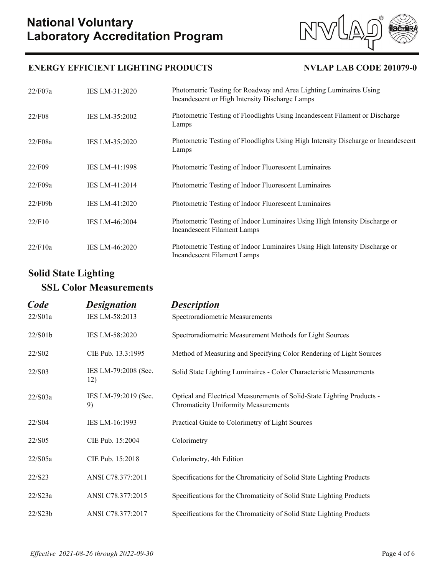

### **ENERGY EFFICIENT LIGHTING PRODUCTS NVLAP LAB CODE 201079-0**

| 22/F07a | IES LM-31:2020        | Photometric Testing for Roadway and Area Lighting Luminaires Using<br>Incandescent or High Intensity Discharge Lamps |
|---------|-----------------------|----------------------------------------------------------------------------------------------------------------------|
| 22/F08  | IES LM-35:2002        | Photometric Testing of Floodlights Using Incandescent Filament or Discharge<br>Lamps                                 |
| 22/F08a | IES LM-35:2020        | Photometric Testing of Floodlights Using High Intensity Discharge or Incandescent<br>Lamps                           |
| 22/F09  | IES LM-41:1998        | Photometric Testing of Indoor Fluorescent Luminaires                                                                 |
| 22/F09a | IES LM-41:2014        | Photometric Testing of Indoor Fluorescent Luminaires                                                                 |
| 22/F09b | IES LM-41:2020        | Photometric Testing of Indoor Fluorescent Luminaires                                                                 |
| 22/F10  | <b>IES LM-46:2004</b> | Photometric Testing of Indoor Luminaires Using High Intensity Discharge or<br>Incandescent Filament Lamps            |
| 22/F10a | <b>IES LM-46:2020</b> | Photometric Testing of Indoor Luminaires Using High Intensity Discharge or<br>Incandescent Filament Lamps            |

# **Solid State Lighting**

# **SSL Color Measurements**

| Code    | <u>Designation</u>          | <u>Description</u>                                                                                                    |
|---------|-----------------------------|-----------------------------------------------------------------------------------------------------------------------|
| 22/S01a | IES LM-58:2013              | Spectroradiometric Measurements                                                                                       |
| 22/S01b | IES LM-58:2020              | Spectroradiometric Measurement Methods for Light Sources                                                              |
| 22/S02  | CIE Pub. 13.3:1995          | Method of Measuring and Specifying Color Rendering of Light Sources                                                   |
| 22/S03  | IES LM-79:2008 (Sec.<br>12) | Solid State Lighting Luminaires - Color Characteristic Measurements                                                   |
| 22/S03a | IES LM-79:2019 (Sec.<br>9)  | Optical and Electrical Measurements of Solid-State Lighting Products -<br><b>Chromaticity Uniformity Measurements</b> |
| 22/S04  | IES LM-16:1993              | Practical Guide to Colorimetry of Light Sources                                                                       |
| 22/S05  | CIE Pub. 15:2004            | Colorimetry                                                                                                           |
| 22/S05a | CIE Pub. 15:2018            | Colorimetry, 4th Edition                                                                                              |
| 22/S23  | ANSI C78.377:2011           | Specifications for the Chromaticity of Solid State Lighting Products                                                  |
| 22/S23a | ANSI C78.377:2015           | Specifications for the Chromaticity of Solid State Lighting Products                                                  |
| 22/S23b | ANSI C78.377:2017           | Specifications for the Chromaticity of Solid State Lighting Products                                                  |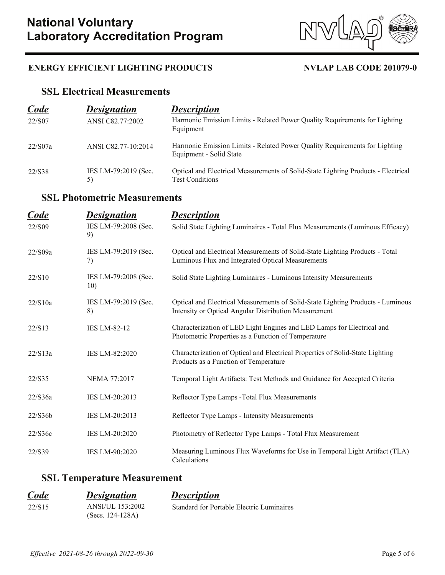

### **ENERGY EFFICIENT LIGHTING PRODUCTS NVLAP LAB CODE 201079-0**

### **SSL Electrical Measurements**

| Code    | <b>Designation</b>         | <b>Description</b>                                                                                          |
|---------|----------------------------|-------------------------------------------------------------------------------------------------------------|
| 22/S07  | ANSI C82.77:2002           | Harmonic Emission Limits - Related Power Quality Requirements for Lighting<br>Equipment                     |
| 22/S07a | ANSI C82.77-10:2014        | Harmonic Emission Limits - Related Power Quality Requirements for Lighting<br>Equipment - Solid State       |
| 22/S38  | IES LM-79:2019 (Sec.<br>5) | Optical and Electrical Measurements of Solid-State Lighting Products - Electrical<br><b>Test Conditions</b> |

# **SSL Photometric Measurements**

| Code    | <b>Designation</b>          | <b>Description</b>                                                                                                                       |
|---------|-----------------------------|------------------------------------------------------------------------------------------------------------------------------------------|
| 22/S09  | IES LM-79:2008 (Sec.<br>9)  | Solid State Lighting Luminaires - Total Flux Measurements (Luminous Efficacy)                                                            |
| 22/S09a | IES LM-79:2019 (Sec.<br>7)  | Optical and Electrical Measurements of Solid-State Lighting Products - Total<br>Luminous Flux and Integrated Optical Measurements        |
| 22/S10  | IES LM-79:2008 (Sec.<br>10) | Solid State Lighting Luminaires - Luminous Intensity Measurements                                                                        |
| 22/S10a | IES LM-79:2019 (Sec.<br>8)  | Optical and Electrical Measurements of Solid-State Lighting Products - Luminous<br>Intensity or Optical Angular Distribution Measurement |
| 22/S13  | <b>IES LM-82-12</b>         | Characterization of LED Light Engines and LED Lamps for Electrical and<br>Photometric Properties as a Function of Temperature            |
| 22/S13a | IES LM-82:2020              | Characterization of Optical and Electrical Properties of Solid-State Lighting<br>Products as a Function of Temperature                   |
| 22/S35  | NEMA 77:2017                | Temporal Light Artifacts: Test Methods and Guidance for Accepted Criteria                                                                |
| 22/S36a | IES LM-20:2013              | Reflector Type Lamps - Total Flux Measurements                                                                                           |
| 22/S36b | IES LM-20:2013              | Reflector Type Lamps - Intensity Measurements                                                                                            |
| 22/S36c | IES LM-20:2020              | Photometry of Reflector Type Lamps - Total Flux Measurement                                                                              |
| 22/S39  | IES LM-90:2020              | Measuring Luminous Flux Waveforms for Use in Temporal Light Artifact (TLA)<br>Calculations                                               |

# **SSL Temperature Measurement**

| Code   | <b>Designation</b> | <b>Description</b>                        |
|--------|--------------------|-------------------------------------------|
| 22/S15 | ANSI/UL 153:2002   | Standard for Portable Electric Luminaires |
|        | $(Secs. 124-128A)$ |                                           |